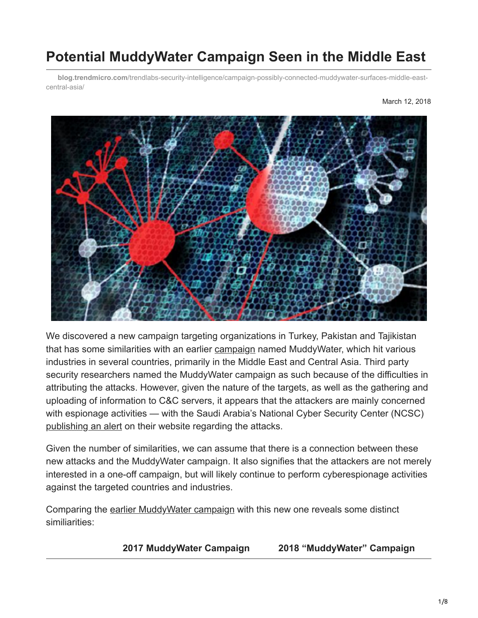# **Potential MuddyWater Campaign Seen in the Middle East**

**blog.trendmicro.com**[/trendlabs-security-intelligence/campaign-possibly-connected-muddywater-surfaces-middle-east](https://blog.trendmicro.com/trendlabs-security-intelligence/campaign-possibly-connected-muddywater-surfaces-middle-east-central-asia/)central-asia/



We discovered a new campaign targeting organizations in Turkey, Pakistan and Tajikistan that has some similarities with an earlier [campaign](https://www.reuters.com/article/us-saudi-cyber/saudi-agency-says-country-targeted-in-cyber-spying-campaign-idUSKBN1DK27M) named MuddyWater, which hit various industries in several countries, primarily in the Middle East and Central Asia. Third party security researchers named the MuddyWater campaign as such because of the difficulties in attributing the attacks. However, given the nature of the targets, as well as the gathering and uploading of information to C&C servers, it appears that the attackers are mainly concerned with espionage activities — with the Saudi Arabia's National Cyber Security Center (NCSC) [publishing an alert](https://www.moi.gov.sa/wps/portal/ncsc/home/Alerts/!ut/p/z0/04_Sj9CPykssy0xPLMnMz0vMAfIjo8ziDQ1dLDyM3A18_M29XQwcnQKD3UyN3Y0dfQ30C7IdFQEpg6mA/) on their website regarding the attacks.

Given the number of similarities, we can assume that there is a connection between these new attacks and the MuddyWater campaign. It also signifies that the attackers are not merely interested in a one-off campaign, but will likely continue to perform cyberespionage activities against the targeted countries and industries.

Comparing the [earlier MuddyWater campaign](https://reaqta.com/2017/11/muddywater-apt-targeting-middle-east/) with this new one reveals some distinct similiarities:

**2017 MuddyWater Campaign 2018 "MuddyWater" Campaign**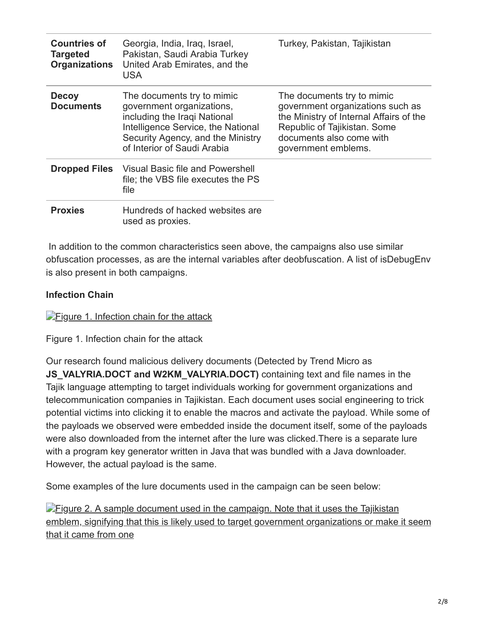| <b>Countries of</b><br><b>Targeted</b><br><b>Organizations</b> | Georgia, India, Iraq, Israel,<br>Pakistan, Saudi Arabia Turkey<br>United Arab Emirates, and the<br><b>USA</b>                                                                                     | Turkey, Pakistan, Tajikistan                                                                                                                                                                 |
|----------------------------------------------------------------|---------------------------------------------------------------------------------------------------------------------------------------------------------------------------------------------------|----------------------------------------------------------------------------------------------------------------------------------------------------------------------------------------------|
| <b>Decoy</b><br><b>Documents</b>                               | The documents try to mimic<br>government organizations,<br>including the Iraqi National<br>Intelligence Service, the National<br>Security Agency, and the Ministry<br>of Interior of Saudi Arabia | The documents try to mimic<br>government organizations such as<br>the Ministry of Internal Affairs of the<br>Republic of Tajikistan. Some<br>documents also come with<br>government emblems. |
|                                                                | <b>Dropped Files</b> Visual Basic file and Powershell<br>file; the VBS file executes the PS<br>file                                                                                               |                                                                                                                                                                                              |
| <b>Proxies</b>                                                 | Hundreds of hacked websites are<br>used as proxies.                                                                                                                                               |                                                                                                                                                                                              |

 In addition to the common characteristics seen above, the campaigns also use similar obfuscation processes, as are the internal variables after deobfuscation. A list of isDebugEnv is also present in both campaigns.

### **Infection Chain**

**[Figure 1. Infection chain for the attack](https://blog.trendmicro.com/content/dam/trendmicro/global/en/migrated/security-intelligence-migration-spreadsheet/trendlabs-security-intelligence/2018/03/MWFig1.png)** 

Figure 1. Infection chain for the attack

Our research found malicious delivery documents (Detected by Trend Micro as **JS\_VALYRIA.DOCT and W2KM\_VALYRIA.DOCT)** containing text and file names in the Tajik language attempting to target individuals working for government organizations and telecommunication companies in Tajikistan. Each document uses social engineering to trick potential victims into clicking it to enable the macros and activate the payload. While some of the payloads we observed were embedded inside the document itself, some of the payloads were also downloaded from the internet after the lure was clicked.There is a separate lure with a program key generator written in Java that was bundled with a Java downloader. However, the actual payload is the same.

Some examples of the lure documents used in the campaign can be seen below:

**Figure 2. A sample document used in the campaign. Note that it uses the Tajikistan** [emblem, signifying that this is likely used to target government organizations or make it seem](https://blog.trendmicro.com/content/dam/trendmicro/global/en/migrated/security-intelligence-migration-spreadsheet/trendlabs-security-intelligence/2018/03/MWFig2.png) that it came from one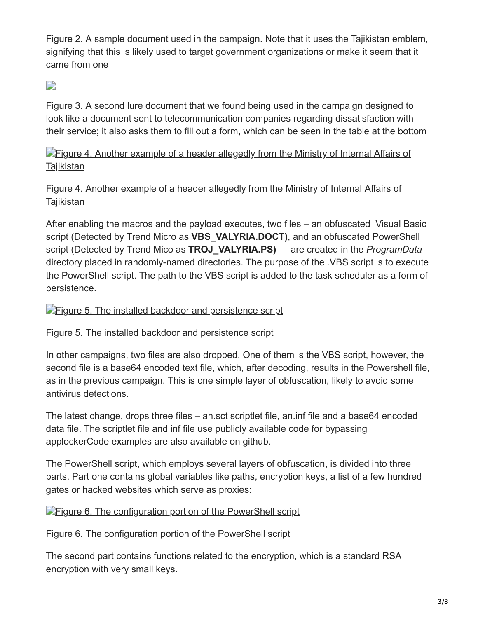Figure 2. A sample document used in the campaign. Note that it uses the Tajikistan emblem, signifying that this is likely used to target government organizations or make it seem that it came from one

# $\mathbf{L}$

Figure 3. A second lure document that we found being used in the campaign designed to look like a document sent to telecommunication companies regarding dissatisfaction with their service; it also asks them to fill out a form, which can be seen in the table at the bottom

**[Figure 4. Another example of a header allegedly from the Ministry of Internal Affairs of](https://blog.trendmicro.com/content/dam/trendmicro/global/en/migrated/security-intelligence-migration-spreadsheet/trendlabs-security-intelligence/2018/03/MWFig4.png) Tajikistan** 

Figure 4. Another example of a header allegedly from the Ministry of Internal Affairs of **Tajikistan** 

After enabling the macros and the payload executes, two files – an obfuscated Visual Basic script (Detected by Trend Micro as **VBS\_VALYRIA.DOCT)**, and an obfuscated PowerShell script (Detected by Trend Mico as **TROJ\_VALYRIA.PS)** — are created in the *ProgramData* directory placed in randomly-named directories. The purpose of the .VBS script is to execute the PowerShell script. The path to the VBS script is added to the task scheduler as a form of persistence.

**[Figure 5. The installed backdoor and persistence script](https://blog.trendmicro.com/content/dam/trendmicro/global/en/migrated/security-intelligence-migration-spreadsheet/trendlabs-security-intelligence/2018/03/MWFig5.png)** 

Figure 5. The installed backdoor and persistence script

In other campaigns, two files are also dropped. One of them is the VBS script, however, the second file is a base64 encoded text file, which, after decoding, results in the Powershell file, as in the previous campaign. This is one simple layer of obfuscation, likely to avoid some antivirus detections.

The latest change, drops three files – an.sct scriptlet file, an.inf file and a base64 encoded data file. The scriptlet file and inf file use publicly available code for bypassing applockerCode examples are also available on github.

The PowerShell script, which employs several layers of obfuscation, is divided into three parts. Part one contains global variables like paths, encryption keys, a list of a few hundred gates or hacked websites which serve as proxies:

### **[Figure 6. The configuration portion of the PowerShell script](https://blog.trendmicro.com/content/dam/trendmicro/global/en/migrated/security-intelligence-migration-spreadsheet/trendlabs-security-intelligence/2018/03/MWFig6.png)**

Figure 6. The configuration portion of the PowerShell script

The second part contains functions related to the encryption, which is a standard RSA encryption with very small keys.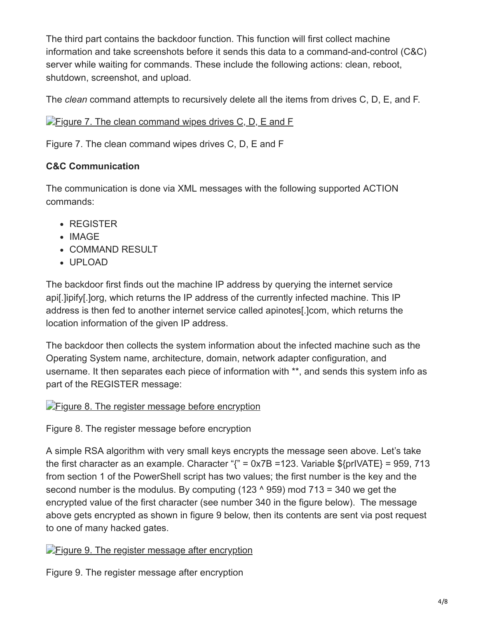The third part contains the backdoor function. This function will first collect machine information and take screenshots before it sends this data to a command-and-control (C&C) server while waiting for commands. These include the following actions: clean, reboot, shutdown, screenshot, and upload.

The *clean* command attempts to recursively delete all the items from drives C, D, E, and F.

## $\blacktriangleright$  [Figure 7. The clean command wipes drives C, D, E and F](https://blog.trendmicro.com/content/dam/trendmicro/global/en/migrated/security-intelligence-migration-spreadsheet/trendlabs-security-intelligence/2018/03/MWFig7.png)

Figure 7. The clean command wipes drives C, D, E and F

# **C&C Communication**

The communication is done via XML messages with the following supported ACTION commands:

- REGISTER
- IMAGE
- COMMAND RESULT
- UPLOAD

The backdoor first finds out the machine IP address by querying the internet service api[.]ipify[.]org, which returns the IP address of the currently infected machine. This IP address is then fed to another internet service called apinotes[.]com, which returns the location information of the given IP address.

The backdoor then collects the system information about the infected machine such as the Operating System name, architecture, domain, network adapter configuration, and username. It then separates each piece of information with \*\*, and sends this system info as part of the REGISTER message:

**[Figure 8. The register message before encryption](https://blog.trendmicro.com/content/dam/trendmicro/global/en/migrated/security-intelligence-migration-spreadsheet/trendlabs-security-intelligence/2018/03/MWFig8.png)** 

Figure 8. The register message before encryption

A simple RSA algorithm with very small keys encrypts the message seen above. Let's take the first character as an example. Character " $\zeta$ " = 0x7B = 123. Variable \$ $\{\text{prIVATE}\}$  = 959, 713 from section 1 of the PowerShell script has two values; the first number is the key and the second number is the modulus. By computing  $(123 \land 959)$  mod  $713 = 340$  we get the encrypted value of the first character (see number 340 in the figure below). The message above gets encrypted as shown in figure 9 below, then its contents are sent via post request to one of many hacked gates.

**Figure 9.** The register message after encryption

Figure 9. The register message after encryption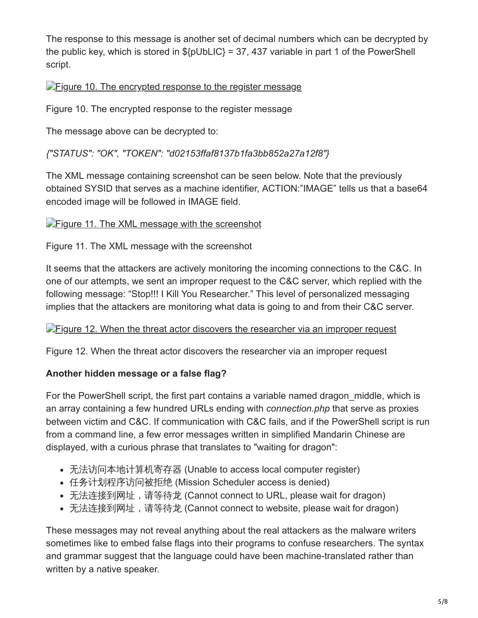The response to this message is another set of decimal numbers which can be decrypted by the public key, which is stored in  $\S\{\text{pUbLIC}\}=37,437$  variable in part 1 of the PowerShell script.

## **Figure 10.** The encrypted response to the register message

Figure 10. The encrypted response to the register message

The message above can be decrypted to:

### *{"STATUS": "OK", "TOKEN": "d02153ffaf8137b1fa3bb852a27a12f8"}*

The XML message containing screenshot can be seen below. Note that the previously obtained SYSID that serves as a machine identifier, ACTION:"IMAGE" tells us that a base64 encoded image will be followed in IMAGE field.

#### **[Figure 11. The XML message with the screenshot](https://blog.trendmicro.com/content/dam/trendmicro/global/en/migrated/security-intelligence-migration-spreadsheet/trendlabs-security-intelligence/2018/03/MWFig11.png)**

Figure 11. The XML message with the screenshot

It seems that the attackers are actively monitoring the incoming connections to the C&C. In one of our attempts, we sent an improper request to the C&C server, which replied with the following message: "Stop!!! I Kill You Researcher." This level of personalized messaging implies that the attackers are monitoring what data is going to and from their C&C server.

#### **[Figure 12. When the threat actor discovers the researcher via an improper request](https://blog.trendmicro.com/content/dam/trendmicro/global/en/migrated/security-intelligence-migration-spreadsheet/trendlabs-security-intelligence/2018/03/MWFig12.png)**

Figure 12. When the threat actor discovers the researcher via an improper request

### **Another hidden message or a false flag?**

For the PowerShell script, the first part contains a variable named dragon\_middle, which is an array containing a few hundred URLs ending with *connection.php* that serve as proxies between victim and C&C. If communication with C&C fails, and if the PowerShell script is run from a command line, a few error messages written in simplified Mandarin Chinese are displayed, with a curious phrase that translates to "waiting for dragon":

- 无法访问本地计算机寄存器 (Unable to access local computer register)
- 任务计划程序访问被拒绝 (Mission Scheduler access is denied)
- 无法连接到网址,请等待龙 (Cannot connect to URL, please wait for dragon)
- 无法连接到网址,请等待龙 (Cannot connect to website, please wait for dragon)

These messages may not reveal anything about the real attackers as the malware writers sometimes like to embed false flags into their programs to confuse researchers. The syntax and grammar suggest that the language could have been machine-translated rather than written by a native speaker.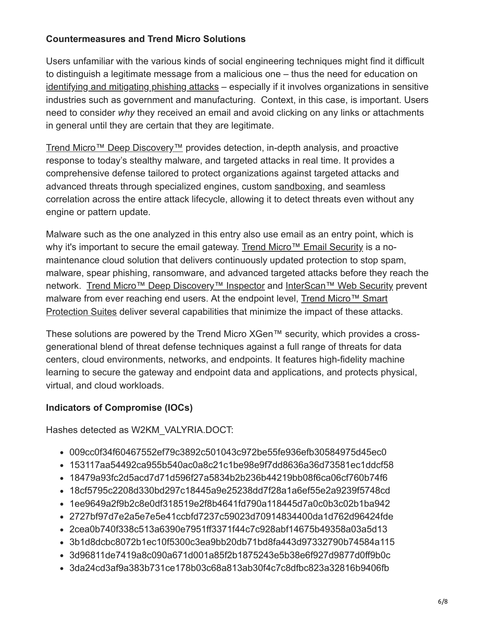#### **Countermeasures and Trend Micro Solutions**

Users unfamiliar with the various kinds of social engineering techniques might find it difficult to distinguish a legitimate message from a malicious one – thus the need for education on [identifying and mitigating phishing attacks](https://www.trendmicro.com/vinfo/ph/security/news/cybercrime-and-digital-threats/best-practices-identifying-and-mitigating-phishing-attacks) – especially if it involves organizations in sensitive industries such as government and manufacturing. Context, in this case, is important. Users need to consider *why* they received an email and avoid clicking on any links or attachments in general until they are certain that they are legitimate.

[Trend Micro™ Deep Discovery™](https://blog.trendmicro.com/en_us/business/products/network/advanced-threat-protection/deep-discovery-threat-intelligence-network-analytics.html) provides detection, in-depth analysis, and proactive response to today's stealthy malware, and targeted attacks in real time. It provides a comprehensive defense tailored to protect organizations against targeted attacks and advanced threats through specialized engines, custom [sandboxing](https://www.trendmicro.com/vinfo/us/security/news/security-technology/how-can-advanced-sandboxing-techniques-thwart-elusive-malware), and seamless correlation across the entire attack lifecycle, allowing it to detect threats even without any engine or pattern update.

Malware such as the one analyzed in this entry also use email as an entry point, which is why it's important to secure the email gateway. [Trend Micro™ Email Security](https://blog.trendmicro.com/en_us/business/products/user-protection/sps/email-and-collaboration/email-security.html) is a nomaintenance cloud solution that delivers continuously updated protection to stop spam, malware, spear phishing, ransomware, and advanced targeted attacks before they reach the network. [Trend Micro™ Deep Discovery™ Inspector](https://blog.trendmicro.com/en_us/business/products/network/advanced-threat-protection/inspector.html) and [InterScan™ Web Security](https://blog.trendmicro.com/en_us/business/products/user-protection/sps/web-security/interscan-web-as-a-service.html) prevent [malware from ever reaching end users. At the endpoint level, Trend Micro™ Smart](https://blog.trendmicro.com/en_us/business/products/user-protection/sps.html) Protection Suites deliver several capabilities that minimize the impact of these attacks.

These solutions are powered by the Trend Micro XGen™ security, which provides a crossgenerational blend of threat defense techniques against a full range of threats for data centers, cloud environments, networks, and endpoints. It features high-fidelity machine learning to secure the gateway and endpoint data and applications, and protects physical, virtual, and cloud workloads.

### **Indicators of Compromise (IOCs)**

Hashes detected as W2KM\_VALYRIA.DOCT:

- 009cc0f34f60467552ef79c3892c501043c972be55fe936efb30584975d45ec0
- 153117aa54492ca955b540ac0a8c21c1be98e9f7dd8636a36d73581ec1ddcf58
- 18479a93fc2d5acd7d71d596f27a5834b2b236b44219bb08f6ca06cf760b74f6
- 18cf5795c2208d330bd297c18445a9e25238dd7f28a1a6ef55e2a9239f5748cd
- 1ee9649a2f9b2c8e0df318519e2f8b4641fd790a118445d7a0c0b3c02b1ba942
- 2727bf97d7e2a5e7e5e41ccbfd7237c59023d70914834400da1d762d96424fde
- 2cea0b740f338c513a6390e7951ff3371f44c7c928abf14675b49358a03a5d13
- 3b1d8dcbc8072b1ec10f5300c3ea9bb20db71bd8fa443d97332790b74584a115
- 3d96811de7419a8c090a671d001a85f2b1875243e5b38e6f927d9877d0ff9b0c
- 3da24cd3af9a383b731ce178b03c68a813ab30f4c7c8dfbc823a32816b9406fb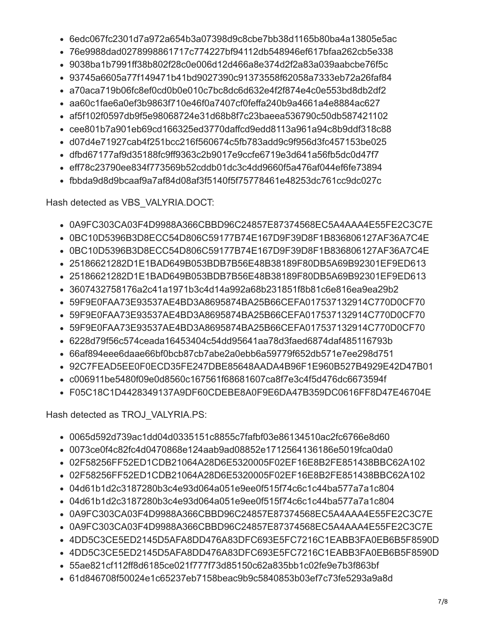- 6edc067fc2301d7a972a654b3a07398d9c8cbe7bb38d1165b80ba4a13805e5ac
- 76e9988dad0278998861717c774227bf94112db548946ef617bfaa262cb5e338
- 9038ba1b7991ff38b802f28c0e006d12d466a8e374d2f2a83a039aabcbe76f5c
- 93745a6605a77f149471b41bd9027390c91373558f62058a7333eb72a26faf84
- a70aca719b06fc8ef0cd0b0e010c7bc8dc6d632e4f2f874e4c0e553bd8db2df2
- aa60c1fae6a0ef3b9863f710e46f0a7407cf0feffa240b9a4661a4e8884ac627
- 
- af5f102f0597db9f5e98068724e31d68b8f7c23baeea536790c50db587421102
- cee801b7a901eb69cd166325ed3770daffcd9edd8113a961a94c8b9ddf318c88
- 
- d07d4e71927cab4f251bcc216f560674c5fb783add9c9f956d3fc457153be025
- dfbd67177af9d35188fc9ff9363c2b9017e9ccfe6719e3d641a56fb5dc0d47f7
- eff78c23790ee834f773569b52cddb01dc3c4dd9660f5a476af044ef6fe73894
- 
- 
- 
- 
- 
- 
- 
- fbbda9d8d9bcaaf9a7af84d08af3f5140f5f75778461e48253dc761cc9dc027c

Hash detected as VBS\_VALYRIA.DOCT:

Hash detected as TROJ VALYRIA.PS:

- 0A9FC303CA03F4D9988A366CBBD96C24857E87374568EC5A4AAA4E55FE2C3C7E
- 0BC10D5396B3D8ECC54D806C59177B74E167D9F39D8F1B836806127AF36A7C4E
- 0BC10D5396B3D8ECC54D806C59177B74E167D9F39D8F1B836806127AF36A7C4E
- 25186621282D1E1BAD649B053BDB7B56E48B38189F80DB5A69B92301EF9ED613
- 25186621282D1E1BAD649B053BDB7B56E48B38189F80DB5A69B92301EF9ED613
- 
- 3607432758176a2c41a1971b3c4d14a992a68b231851f8b81c6e816ea9ea29b2
- 59F9E0FAA73E93537AE4BD3A8695874BA25B66CEFA017537132914C770D0CF70
- 
- 
- 
- 
- 59F9E0FAA73E93537AE4BD3A8695874BA25B66CEFA017537132914C770D0CF70
- 59F9E0FAA73E93537AE4BD3A8695874BA25B66CEFA017537132914C770D0CF70
- 
- 6228d79f56c574ceada16453404c54dd95641aa78d3faed6874daf485116793b
- 66af894eee6daae66bf0bcb87cb7abe2a0ebb6a59779f652db571e7ee298d751
- 92C7FEAD5EE0F0ECD35FE247DBE85648AADA4B96F1E960B527B4929E42D47B01
- c006911be5480f09e0d8560c167561f68681607ca8f7e3c4f5d476dc6673594f
- 

• 02F58256FF52ED1CDB21064A28D6E5320005F02EF16E8B2FE851438BBC62A102 • 02F58256FF52ED1CDB21064A28D6E5320005F02EF16E8B2FE851438BBC62A102

• 0A9FC303CA03F4D9988A366CBBD96C24857E87374568EC5A4AAA4E55FE2C3C7E • 0A9FC303CA03F4D9988A366CBBD96C24857E87374568EC5A4AAA4E55FE2C3C7E • 4DD5C3CE5ED2145D5AFA8DD476A83DFC693E5FC7216C1EABB3FA0EB6B5F8590D • 4DD5C3CE5ED2145D5AFA8DD476A83DFC693E5FC7216C1EABB3FA0EB6B5F8590D

 $7/8$ 

- 
- 
- 
- 
- 

• 0065d592d739ac1dd04d0335151c8855c7fafbf03e86134510ac2fc6766e8d60 • 0073ce0f4c82fc4d0470868e124aab9ad08852e1712564136186e5019fca0da0

• 04d61b1d2c3187280b3c4e93d064a051e9ee0f515f74c6c1c44ba577a7a1c804 • 04d61b1d2c3187280b3c4e93d064a051e9ee0f515f74c6c1c44ba577a7a1c804

• 55ae821cf112ff8d6185ce021f777f73d85150c62a835bb1c02fe9e7b3f863bf • 61d846708f50024e1c65237eb7158beac9b9c5840853b03ef7c73fe5293a9a8d

- 
- 
- 
- 
- 
- 
- 

# • F05C18C1D4428349137A9DF60CDEBE8A0F9E6DA47B359DC0616FF8D47E46704E